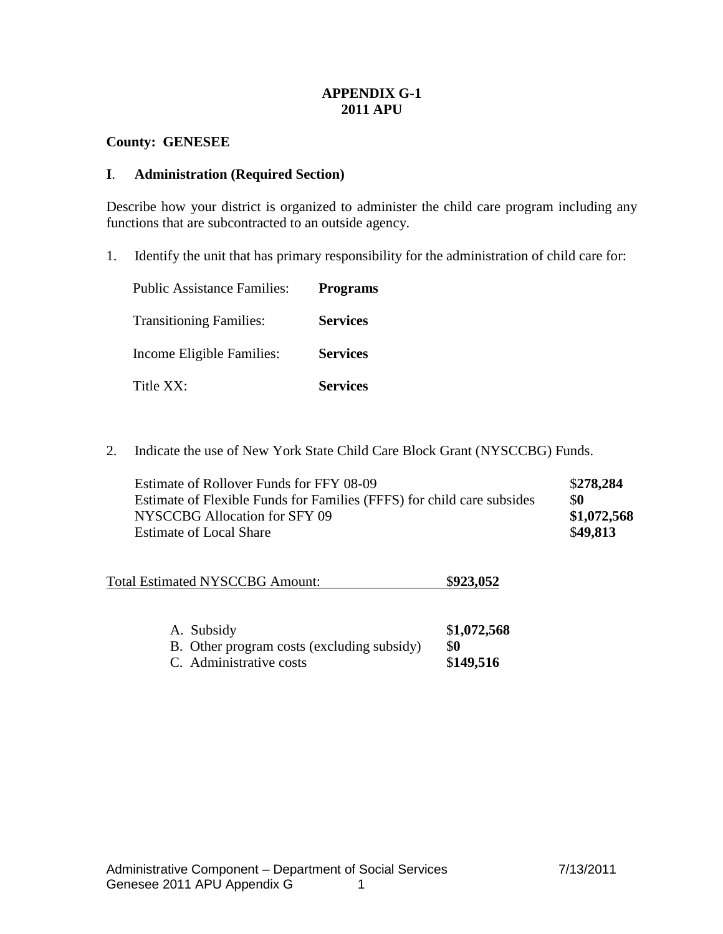# **APPENDIX G-1 2011 APU**

# **County: GENESEE**

## **I**. **Administration (Required Section)**

Describe how your district is organized to administer the child care program including any functions that are subcontracted to an outside agency.

1. Identify the unit that has primary responsibility for the administration of child care for:

| <b>Public Assistance Families:</b> | <b>Programs</b> |
|------------------------------------|-----------------|
| <b>Transitioning Families:</b>     | <b>Services</b> |
| Income Eligible Families:          | <b>Services</b> |
| Title XX:                          | <b>Services</b> |

2. Indicate the use of New York State Child Care Block Grant (NYSCCBG) Funds.

| Estimate of Rollover Funds for FFY 08-09                               | \$278,284   |
|------------------------------------------------------------------------|-------------|
| Estimate of Flexible Funds for Families (FFFS) for child care subsides | \$0         |
| NYSCCBG Allocation for SFY 09                                          | \$1,072,568 |
| <b>Estimate of Local Share</b>                                         | \$49,813    |

| <b>Total Estimated NYSCCBG Amount:</b> | \$923,052 |
|----------------------------------------|-----------|
|----------------------------------------|-----------|

| A. Subsidy                                 | \$1,072,568 |
|--------------------------------------------|-------------|
| B. Other program costs (excluding subsidy) | \$O         |
| C. Administrative costs                    | \$149,516   |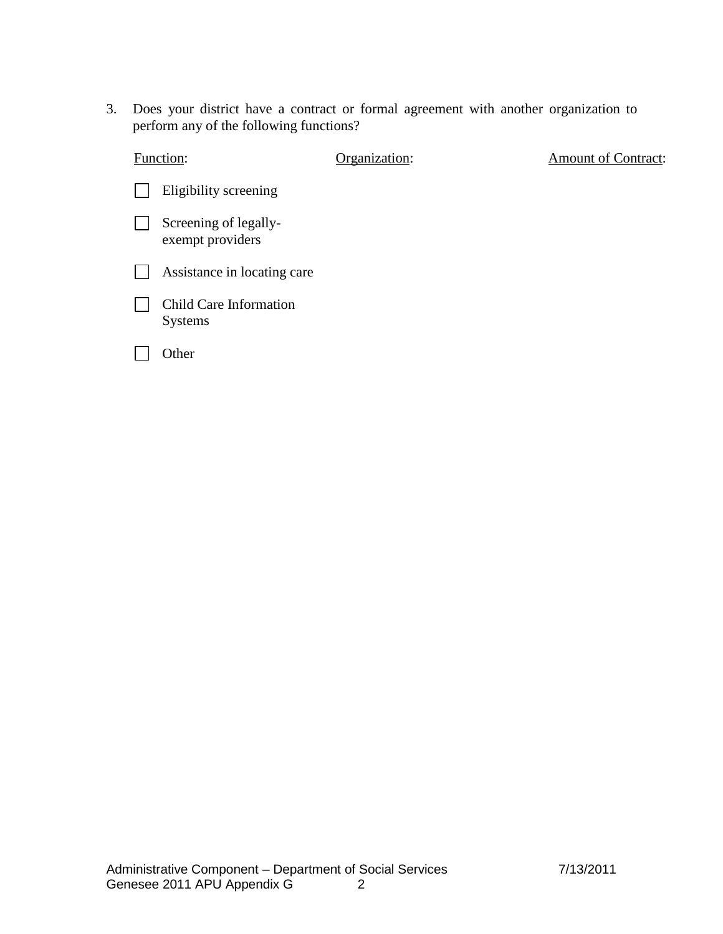3. Does your district have a contract or formal agreement with another organization to perform any of the following functions?

| Function:                                 | Organization: | <b>Amount of Contract:</b> |
|-------------------------------------------|---------------|----------------------------|
| Eligibility screening                     |               |                            |
| Screening of legally-<br>exempt providers |               |                            |
| Assistance in locating care               |               |                            |
| Child Care Information<br><b>Systems</b>  |               |                            |
| Other                                     |               |                            |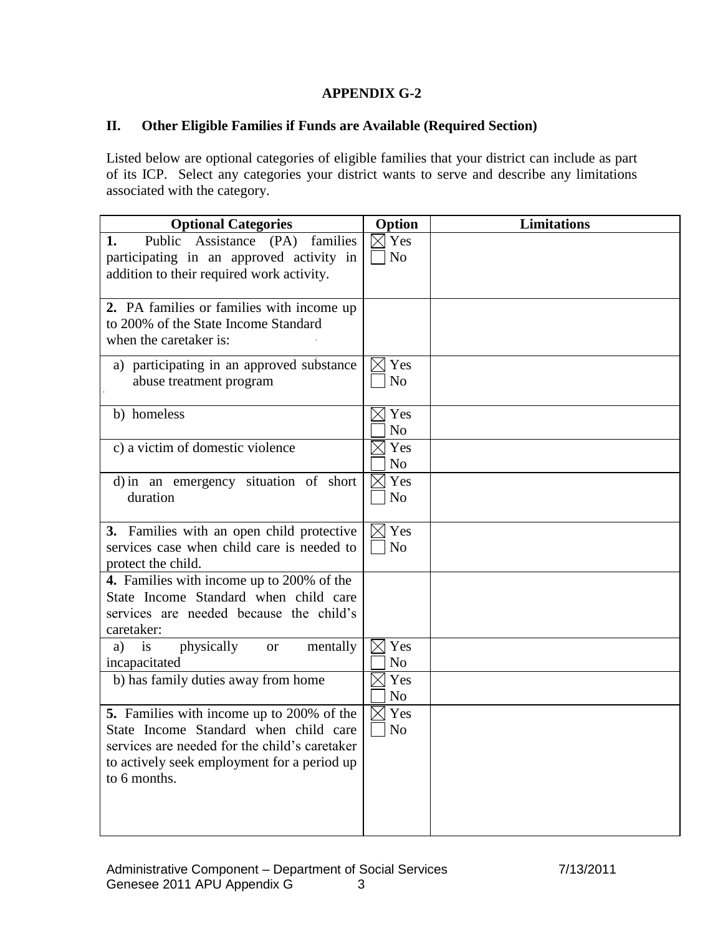# **APPENDIX G-2**

# **II. Other Eligible Families if Funds are Available (Required Section)**

Listed below are optional categories of eligible families that your district can include as part of its ICP. Select any categories your district wants to serve and describe any limitations associated with the category.

| <b>Optional Categories</b>                                                                                                                                                                         | Option                            | <b>Limitations</b> |
|----------------------------------------------------------------------------------------------------------------------------------------------------------------------------------------------------|-----------------------------------|--------------------|
| Assistance (PA)<br>families<br>Public<br>1.<br>participating in an approved activity in<br>addition to their required work activity.                                                               | $\boxtimes$ Yes<br>N <sub>o</sub> |                    |
| 2. PA families or families with income up<br>to 200% of the State Income Standard<br>when the caretaker is:                                                                                        |                                   |                    |
| a) participating in an approved substance<br>abuse treatment program                                                                                                                               | $\boxtimes$ Yes<br>N <sub>o</sub> |                    |
| b) homeless                                                                                                                                                                                        | $\boxtimes$ Yes<br>N <sub>o</sub> |                    |
| c) a victim of domestic violence                                                                                                                                                                   | $\boxtimes$ Yes<br>N <sub>o</sub> |                    |
| d) in an emergency situation of short<br>duration                                                                                                                                                  | Yes<br>IXI<br>N <sub>o</sub>      |                    |
| 3. Families with an open child protective<br>services case when child care is needed to<br>protect the child.                                                                                      | $\boxtimes$ Yes<br>N <sub>o</sub> |                    |
| 4. Families with income up to 200% of the<br>State Income Standard when child care<br>services are needed because the child's<br>caretaker:                                                        |                                   |                    |
| physically<br>is<br>mentally<br><b>or</b><br>a)<br>incapacitated                                                                                                                                   | $\boxtimes$ Yes<br>N <sub>o</sub> |                    |
| b) has family duties away from home                                                                                                                                                                | $\boxtimes$ Yes<br>N <sub>o</sub> |                    |
| 5. Families with income up to 200% of the<br>State Income Standard when child care<br>services are needed for the child's caretaker<br>to actively seek employment for a period up<br>to 6 months. | $\boxtimes$ Yes<br>No             |                    |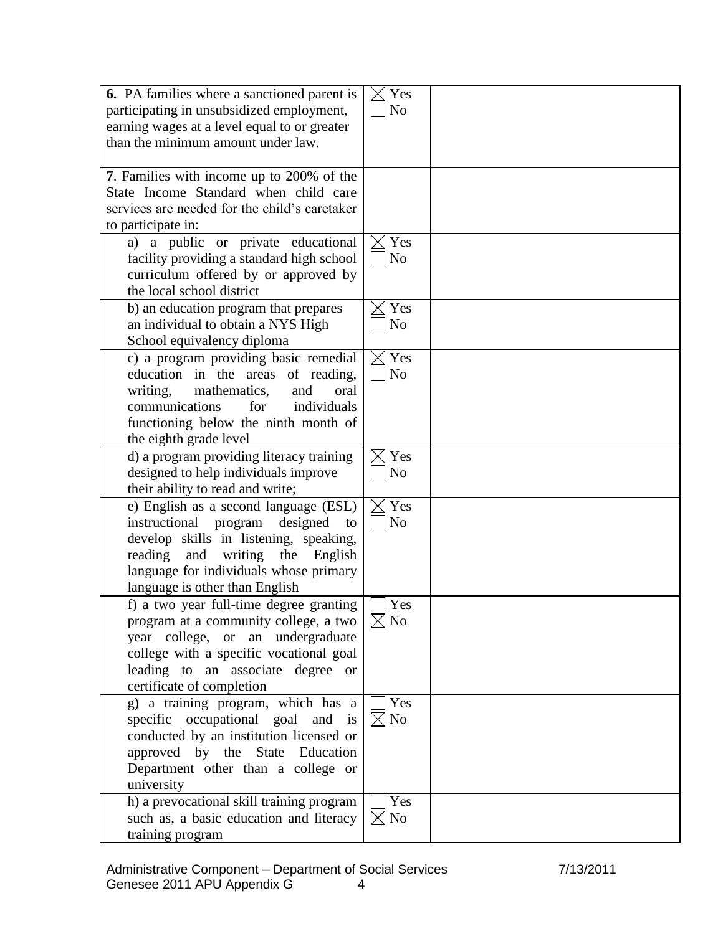| <b>6.</b> PA families where a sanctioned parent is<br>participating in unsubsidized employment, | $\boxtimes$<br>Yes<br>N <sub>o</sub> |  |
|-------------------------------------------------------------------------------------------------|--------------------------------------|--|
| earning wages at a level equal to or greater                                                    |                                      |  |
| than the minimum amount under law.                                                              |                                      |  |
|                                                                                                 |                                      |  |
| 7. Families with income up to 200% of the                                                       |                                      |  |
| State Income Standard when child care                                                           |                                      |  |
| services are needed for the child's caretaker                                                   |                                      |  |
| to participate in:                                                                              |                                      |  |
| a) a public or private educational                                                              | Yes                                  |  |
| facility providing a standard high school                                                       | No                                   |  |
| curriculum offered by or approved by                                                            |                                      |  |
| the local school district                                                                       |                                      |  |
| b) an education program that prepares                                                           | Yes                                  |  |
| an individual to obtain a NYS High                                                              | N <sub>o</sub>                       |  |
| School equivalency diploma                                                                      |                                      |  |
| c) a program providing basic remedial                                                           | Yes<br>$\boxtimes$                   |  |
| education in the areas of reading,                                                              | $\rm No$                             |  |
| mathematics,<br>writing,<br>and<br>oral<br>communications<br>individuals<br>for                 |                                      |  |
|                                                                                                 |                                      |  |
| functioning below the ninth month of<br>the eighth grade level                                  |                                      |  |
| d) a program providing literacy training                                                        | Yes                                  |  |
| designed to help individuals improve                                                            | N <sub>o</sub>                       |  |
| their ability to read and write;                                                                |                                      |  |
| e) English as a second language (ESL)                                                           | Yes                                  |  |
| instructional<br>program<br>designed<br>to                                                      | N <sub>o</sub>                       |  |
| develop skills in listening, speaking,                                                          |                                      |  |
| reading<br>and writing the English                                                              |                                      |  |
| language for individuals whose primary                                                          |                                      |  |
| language is other than English                                                                  |                                      |  |
| f) a two year full-time degree granting                                                         | Yes                                  |  |
| program at a community college, a two                                                           | $\boxtimes$ No                       |  |
| year college, or an undergraduate                                                               |                                      |  |
| college with a specific vocational goal                                                         |                                      |  |
| leading to an associate degree or                                                               |                                      |  |
| certificate of completion                                                                       |                                      |  |
| g) a training program, which has a                                                              | Yes                                  |  |
| specific occupational goal and is                                                               | $\boxtimes$ No                       |  |
| conducted by an institution licensed or                                                         |                                      |  |
| approved by the State Education                                                                 |                                      |  |
| Department other than a college or                                                              |                                      |  |
| university                                                                                      |                                      |  |
| h) a prevocational skill training program                                                       | Yes                                  |  |
| such as, a basic education and literacy                                                         | $\rm No$<br>$\boxtimes$              |  |
| training program                                                                                |                                      |  |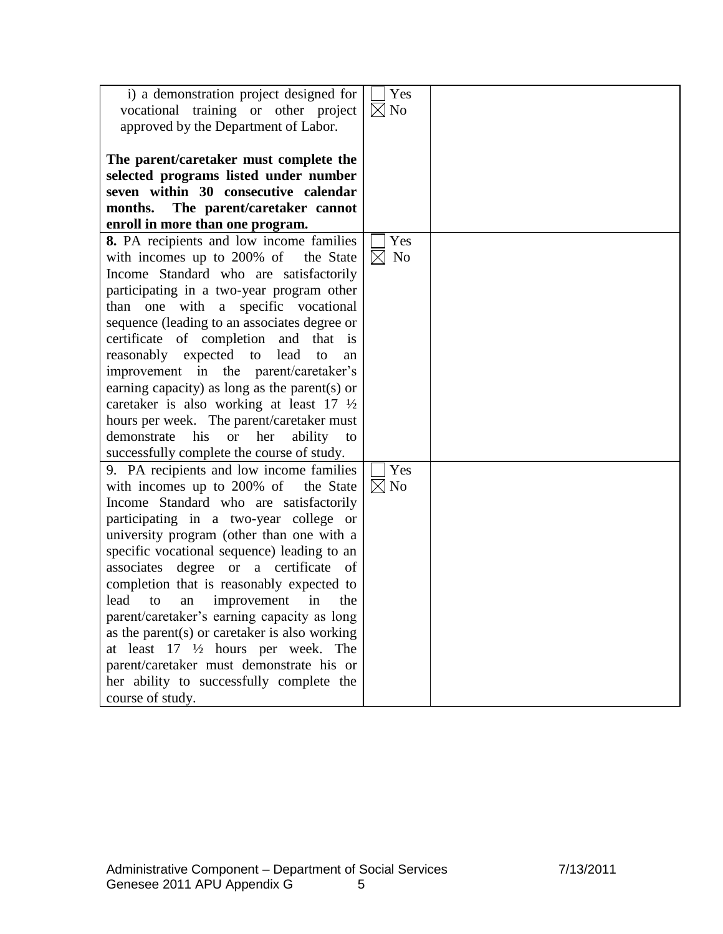|                                                             | Yes                           |  |
|-------------------------------------------------------------|-------------------------------|--|
| i) a demonstration project designed for                     |                               |  |
| vocational training or other project                        | $\boxtimes$ No                |  |
| approved by the Department of Labor.                        |                               |  |
|                                                             |                               |  |
| The parent/caretaker must complete the                      |                               |  |
| selected programs listed under number                       |                               |  |
|                                                             |                               |  |
| seven within 30 consecutive calendar                        |                               |  |
| The parent/caretaker cannot<br>months.                      |                               |  |
| enroll in more than one program.                            |                               |  |
| 8. PA recipients and low income families                    | Yes                           |  |
| with incomes up to 200% of the State                        | $\boxtimes$<br>N <sub>o</sub> |  |
| Income Standard who are satisfactorily                      |                               |  |
|                                                             |                               |  |
| participating in a two-year program other                   |                               |  |
| than one with a specific vocational                         |                               |  |
| sequence (leading to an associates degree or                |                               |  |
| certificate of completion and that is                       |                               |  |
| reasonably expected to lead<br>to<br>an                     |                               |  |
| improvement in the parent/caretaker's                       |                               |  |
| earning capacity) as long as the parent(s) or               |                               |  |
| caretaker is also working at least 17 1/2                   |                               |  |
|                                                             |                               |  |
| hours per week. The parent/caretaker must                   |                               |  |
| his<br>her<br>demonstrate<br><sub>or</sub><br>ability<br>to |                               |  |
| successfully complete the course of study.                  |                               |  |
| 9. PA recipients and low income families                    | Yes                           |  |
| with incomes up to 200% of<br>the State                     | $\boxtimes$ No                |  |
| Income Standard who are satisfactorily                      |                               |  |
| participating in a two-year college or                      |                               |  |
| university program (other than one with a                   |                               |  |
| specific vocational sequence) leading to an                 |                               |  |
|                                                             |                               |  |
| associates degree or a certificate of                       |                               |  |
| completion that is reasonably expected to                   |                               |  |
| lead<br>improvement<br>in<br>to<br>the<br>an                |                               |  |
| parent/caretaker's earning capacity as long                 |                               |  |
| as the parent $(s)$ or caretaker is also working            |                               |  |
| at least $17 \frac{1}{2}$ hours per week. The               |                               |  |
| parent/caretaker must demonstrate his or                    |                               |  |
| her ability to successfully complete the                    |                               |  |
| course of study.                                            |                               |  |
|                                                             |                               |  |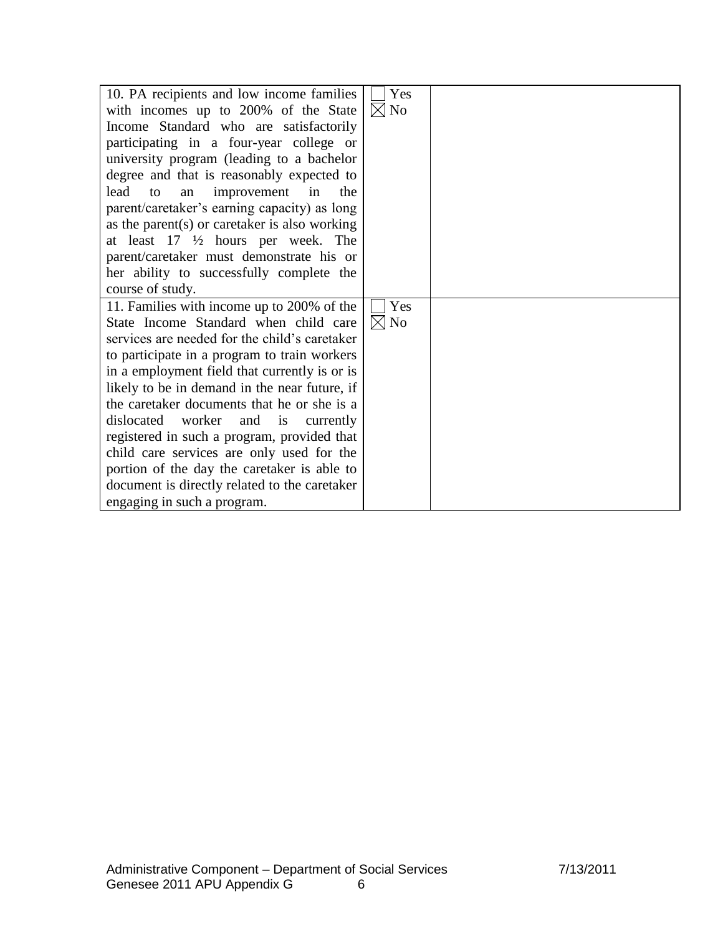| 10. PA recipients and low income families     | Yes            |  |
|-----------------------------------------------|----------------|--|
| with incomes up to 200% of the State          | $\boxtimes$ No |  |
| Income Standard who are satisfactorily        |                |  |
| participating in a four-year college or       |                |  |
| university program (leading to a bachelor     |                |  |
| degree and that is reasonably expected to     |                |  |
| improvement in<br>lead<br>the<br>to<br>an     |                |  |
| parent/caretaker's earning capacity) as long  |                |  |
| as the parent(s) or caretaker is also working |                |  |
| at least $17 \frac{1}{2}$ hours per week. The |                |  |
| parent/caretaker must demonstrate his or      |                |  |
| her ability to successfully complete the      |                |  |
| course of study.                              |                |  |
| 11. Families with income up to 200% of the    | Yes            |  |
| State Income Standard when child care         | $\boxtimes$ No |  |
| services are needed for the child's caretaker |                |  |
| to participate in a program to train workers  |                |  |
| in a employment field that currently is or is |                |  |
| likely to be in demand in the near future, if |                |  |
| the caretaker documents that he or she is a   |                |  |
| dislocated worker<br>and is<br>currently      |                |  |
| registered in such a program, provided that   |                |  |
| child care services are only used for the     |                |  |
| portion of the day the caretaker is able to   |                |  |
| document is directly related to the caretaker |                |  |
| engaging in such a program.                   |                |  |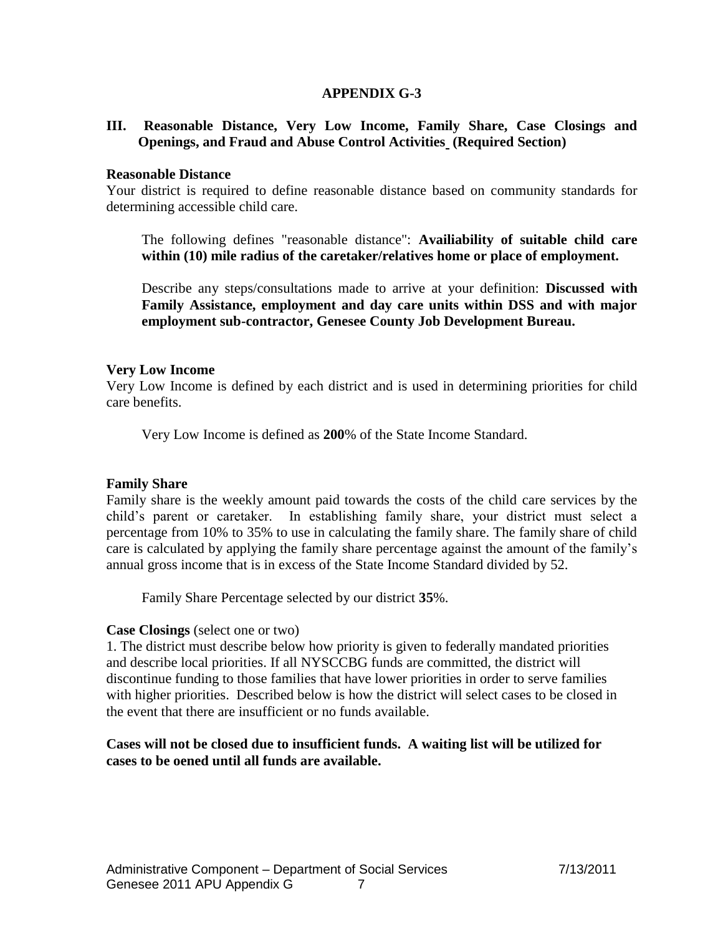## **APPENDIX G-3**

#### **III. Reasonable Distance, Very Low Income, Family Share, Case Closings and Openings, and Fraud and Abuse Control Activities (Required Section)**

#### **Reasonable Distance**

Your district is required to define reasonable distance based on community standards for determining accessible child care.

The following defines "reasonable distance": **Availiability of suitable child care within (10) mile radius of the caretaker/relatives home or place of employment.** 

Describe any steps/consultations made to arrive at your definition: **Discussed with Family Assistance, employment and day care units within DSS and with major employment sub-contractor, Genesee County Job Development Bureau.** 

#### **Very Low Income**

Very Low Income is defined by each district and is used in determining priorities for child care benefits.

Very Low Income is defined as **200**% of the State Income Standard.

#### **Family Share**

Family share is the weekly amount paid towards the costs of the child care services by the child's parent or caretaker. In establishing family share, your district must select a percentage from 10% to 35% to use in calculating the family share. The family share of child care is calculated by applying the family share percentage against the amount of the family's annual gross income that is in excess of the State Income Standard divided by 52.

Family Share Percentage selected by our district **35**%.

#### **Case Closings** (select one or two)

1. The district must describe below how priority is given to federally mandated priorities and describe local priorities. If all NYSCCBG funds are committed, the district will discontinue funding to those families that have lower priorities in order to serve families with higher priorities. Described below is how the district will select cases to be closed in the event that there are insufficient or no funds available.

## **Cases will not be closed due to insufficient funds. A waiting list will be utilized for cases to be oened until all funds are available.**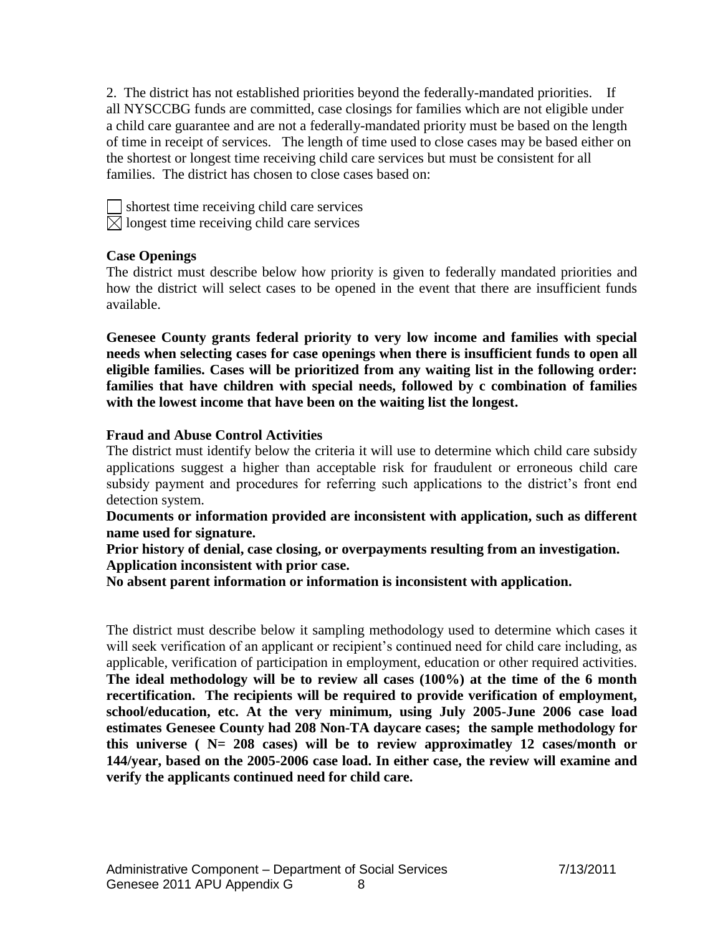2. The district has not established priorities beyond the federally-mandated priorities. If all NYSCCBG funds are committed, case closings for families which are not eligible under a child care guarantee and are not a federally-mandated priority must be based on the length of time in receipt of services. The length of time used to close cases may be based either on the shortest or longest time receiving child care services but must be consistent for all families. The district has chosen to close cases based on:

shortest time receiving child care services  $\boxtimes$  longest time receiving child care services

## **Case Openings**

The district must describe below how priority is given to federally mandated priorities and how the district will select cases to be opened in the event that there are insufficient funds available.

**Genesee County grants federal priority to very low income and families with special needs when selecting cases for case openings when there is insufficient funds to open all eligible families. Cases will be prioritized from any waiting list in the following order: families that have children with special needs, followed by c combination of families with the lowest income that have been on the waiting list the longest.**

## **Fraud and Abuse Control Activities**

The district must identify below the criteria it will use to determine which child care subsidy applications suggest a higher than acceptable risk for fraudulent or erroneous child care subsidy payment and procedures for referring such applications to the district's front end detection system.

**Documents or information provided are inconsistent with application, such as different name used for signature.**

**Prior history of denial, case closing, or overpayments resulting from an investigation. Application inconsistent with prior case.**

**No absent parent information or information is inconsistent with application.**

The district must describe below it sampling methodology used to determine which cases it will seek verification of an applicant or recipient's continued need for child care including, as applicable, verification of participation in employment, education or other required activities. **The ideal methodology will be to review all cases (100%) at the time of the 6 month recertification. The recipients will be required to provide verification of employment, school/education, etc. At the very minimum, using July 2005-June 2006 case load estimates Genesee County had 208 Non-TA daycare cases; the sample methodology for this universe ( N= 208 cases) will be to review approximatley 12 cases/month or 144/year, based on the 2005-2006 case load. In either case, the review will examine and verify the applicants continued need for child care.**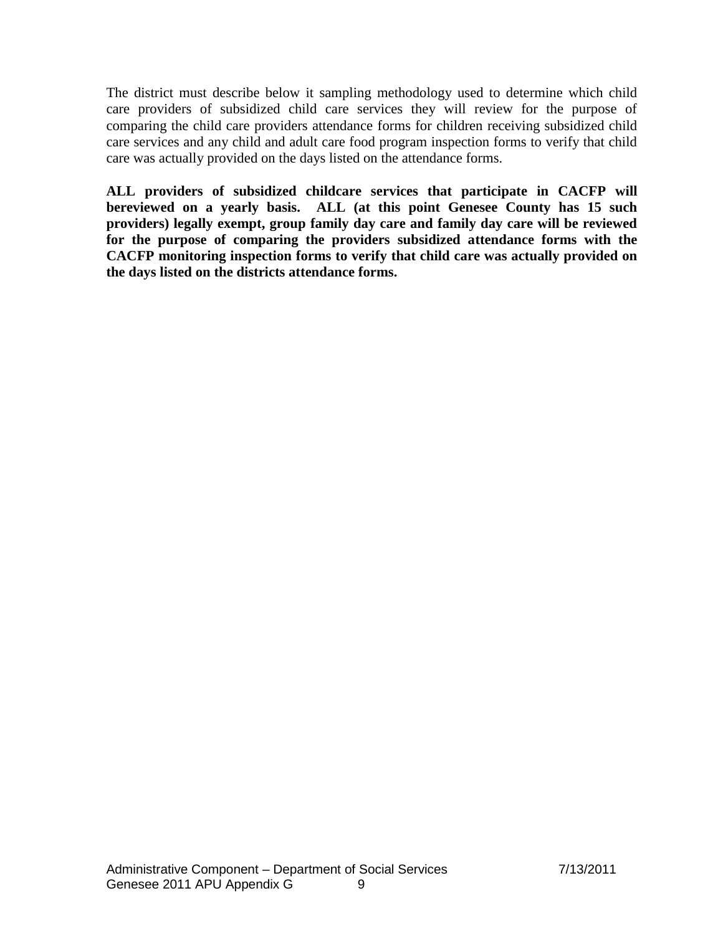The district must describe below it sampling methodology used to determine which child care providers of subsidized child care services they will review for the purpose of comparing the child care providers attendance forms for children receiving subsidized child care services and any child and adult care food program inspection forms to verify that child care was actually provided on the days listed on the attendance forms.

**ALL providers of subsidized childcare services that participate in CACFP will bereviewed on a yearly basis. ALL (at this point Genesee County has 15 such providers) legally exempt, group family day care and family day care will be reviewed for the purpose of comparing the providers subsidized attendance forms with the CACFP monitoring inspection forms to verify that child care was actually provided on the days listed on the districts attendance forms.**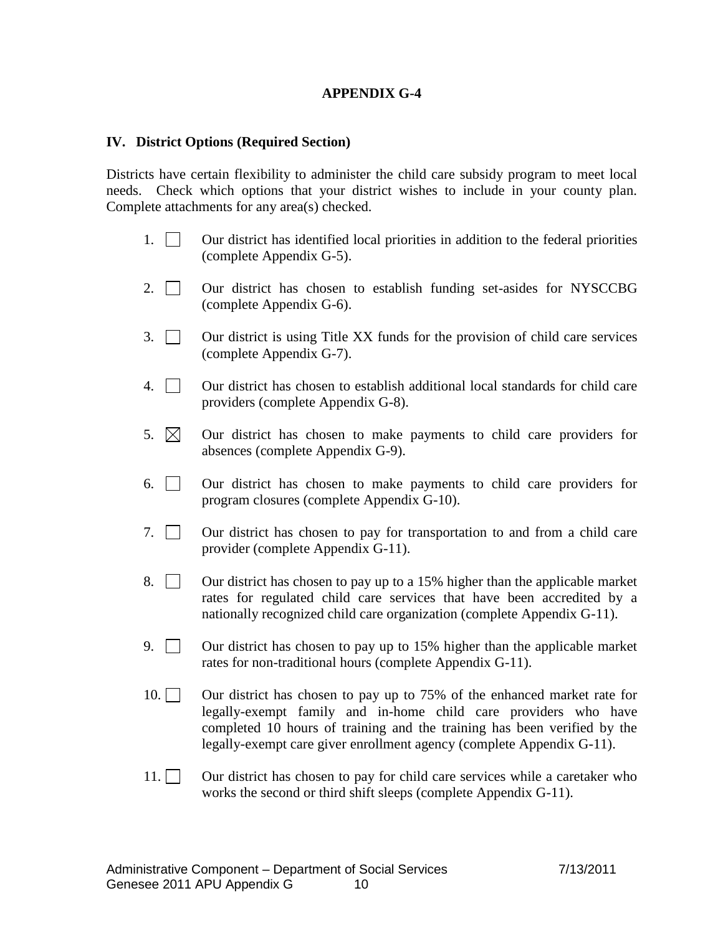## **APPENDIX G-4**

#### **IV. District Options (Required Section)**

Districts have certain flexibility to administer the child care subsidy program to meet local needs. Check which options that your district wishes to include in your county plan. Complete attachments for any area(s) checked.

- 1. Our district has identified local priorities in addition to the federal priorities (complete Appendix G-5).
- 2.  $\Box$  Our district has chosen to establish funding set-asides for NYSCCBG (complete Appendix G-6).
- 3.  $\Box$  Our district is using Title XX funds for the provision of child care services (complete Appendix G-7).
- 4. Our district has chosen to establish additional local standards for child care providers (complete Appendix G-8).
- 5.  $\boxtimes$  Our district has chosen to make payments to child care providers for absences (complete Appendix G-9).
- 6. Our district has chosen to make payments to child care providers for program closures (complete Appendix G-10).
- 7.  $\Box$  Our district has chosen to pay for transportation to and from a child care provider (complete Appendix G-11).
- 8.  $\Box$  Our district has chosen to pay up to a 15% higher than the applicable market rates for regulated child care services that have been accredited by a nationally recognized child care organization (complete Appendix G-11).
- 9.  $\Box$  Our district has chosen to pay up to 15% higher than the applicable market rates for non-traditional hours (complete Appendix G-11).
- 10. Our district has chosen to pay up to 75% of the enhanced market rate for legally-exempt family and in-home child care providers who have completed 10 hours of training and the training has been verified by the legally-exempt care giver enrollment agency (complete Appendix G-11).
- 11.  $\Box$  Our district has chosen to pay for child care services while a caretaker who works the second or third shift sleeps (complete Appendix G-11).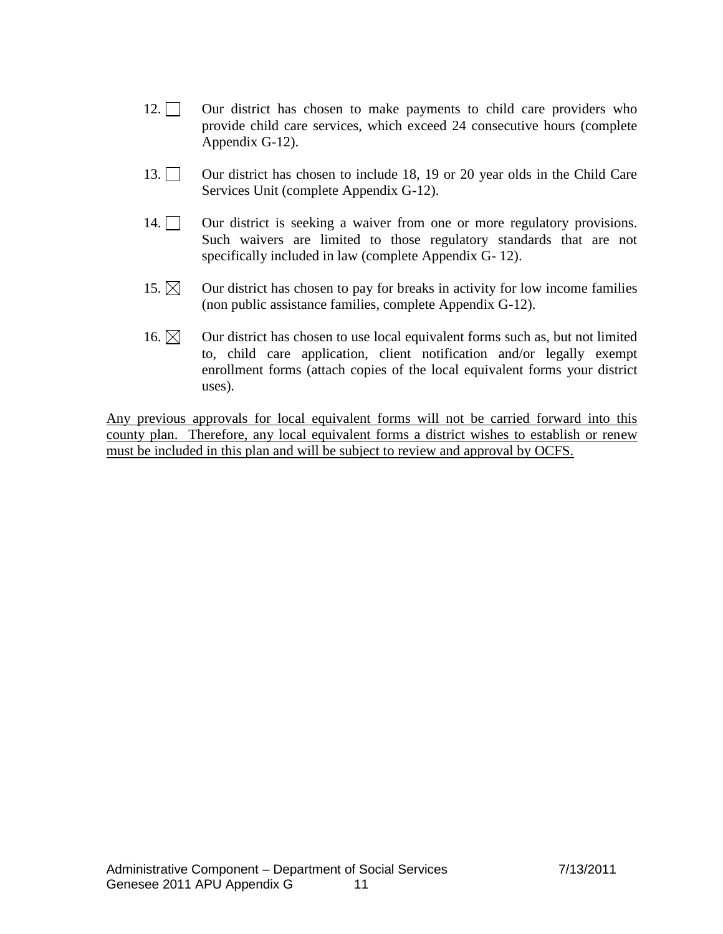- 12. Our district has chosen to make payments to child care providers who provide child care services, which exceed 24 consecutive hours (complete Appendix G-12).
- 13. Our district has chosen to include 18, 19 or 20 year olds in the Child Care Services Unit (complete Appendix G-12).
- 14. Our district is seeking a waiver from one or more regulatory provisions. Such waivers are limited to those regulatory standards that are not specifically included in law (complete Appendix G- 12).
- 15.  $\boxtimes$  Our district has chosen to pay for breaks in activity for low income families (non public assistance families, complete Appendix G-12).
- 16.  $\boxtimes$  Our district has chosen to use local equivalent forms such as, but not limited to, child care application, client notification and/or legally exempt enrollment forms (attach copies of the local equivalent forms your district uses).

Any previous approvals for local equivalent forms will not be carried forward into this county plan. Therefore, any local equivalent forms a district wishes to establish or renew must be included in this plan and will be subject to review and approval by OCFS.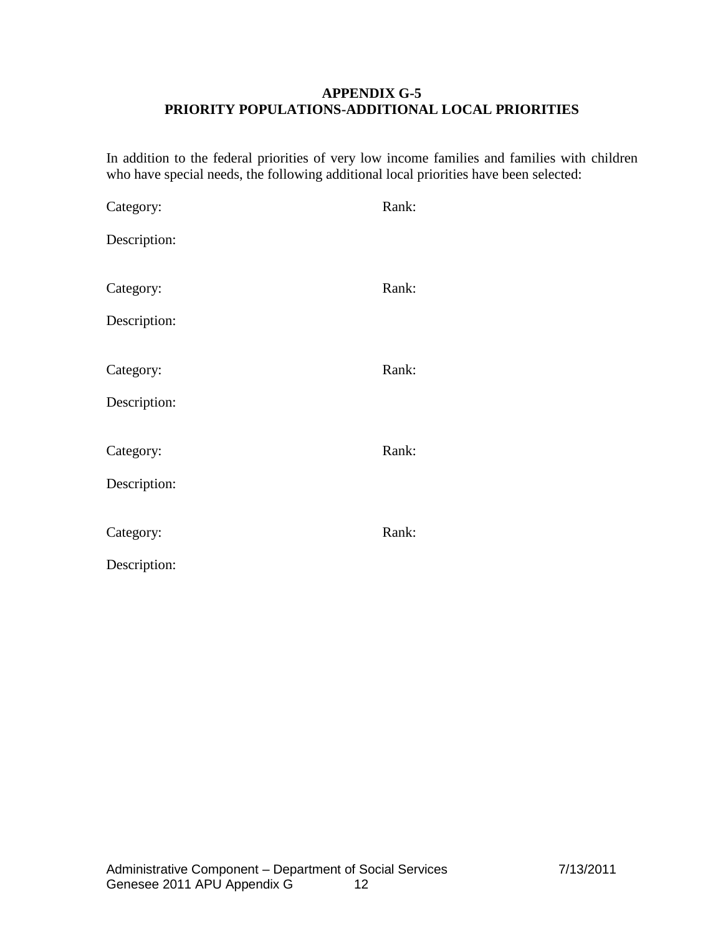## **APPENDIX G-5 PRIORITY POPULATIONS-ADDITIONAL LOCAL PRIORITIES**

In addition to the federal priorities of very low income families and families with children who have special needs, the following additional local priorities have been selected:

| Category:    | Rank: |
|--------------|-------|
| Description: |       |
|              |       |
| Category:    | Rank: |
| Description: |       |
|              |       |
| Category:    | Rank: |
| Description: |       |
|              |       |
| Category:    | Rank: |
| Description: |       |
|              |       |
| Category:    | Rank: |
| Description: |       |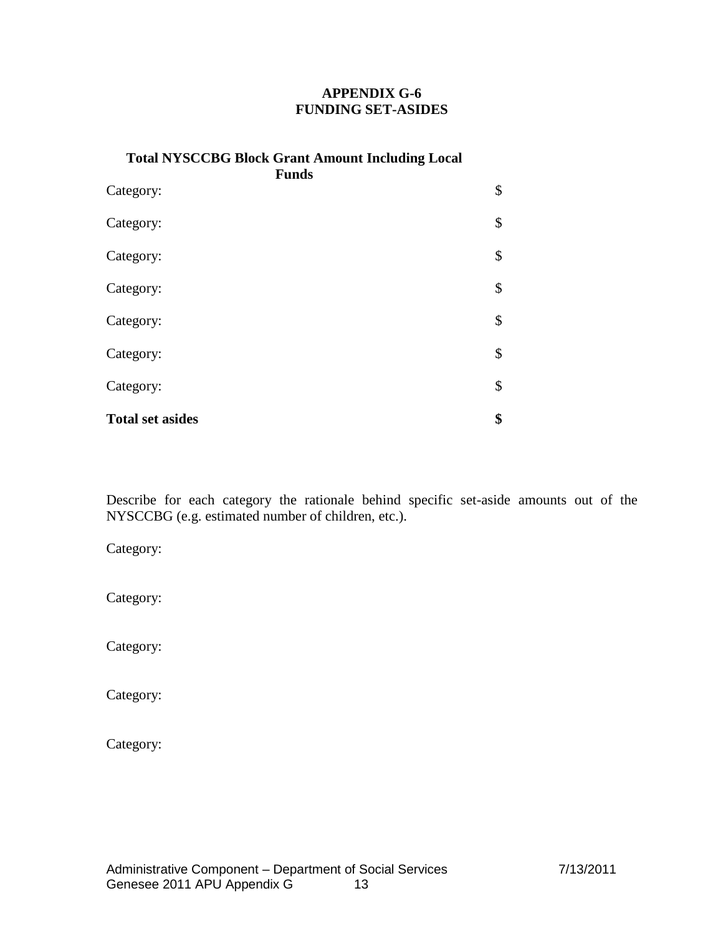# **APPENDIX G-6 FUNDING SET-ASIDES**

| <b>Total NYSCCBG Block Grant Amount Including Local</b><br><b>Funds</b> |    |  |
|-------------------------------------------------------------------------|----|--|
| Category:                                                               | \$ |  |
| Category:                                                               | \$ |  |
| Category:                                                               | \$ |  |
| Category:                                                               | \$ |  |
| Category:                                                               | \$ |  |
| Category:                                                               | \$ |  |
| Category:                                                               | \$ |  |
| <b>Total set asides</b>                                                 | \$ |  |

Describe for each category the rationale behind specific set-aside amounts out of the NYSCCBG (e.g. estimated number of children, etc.).

Category:

Category:

Category:

Category:

Category: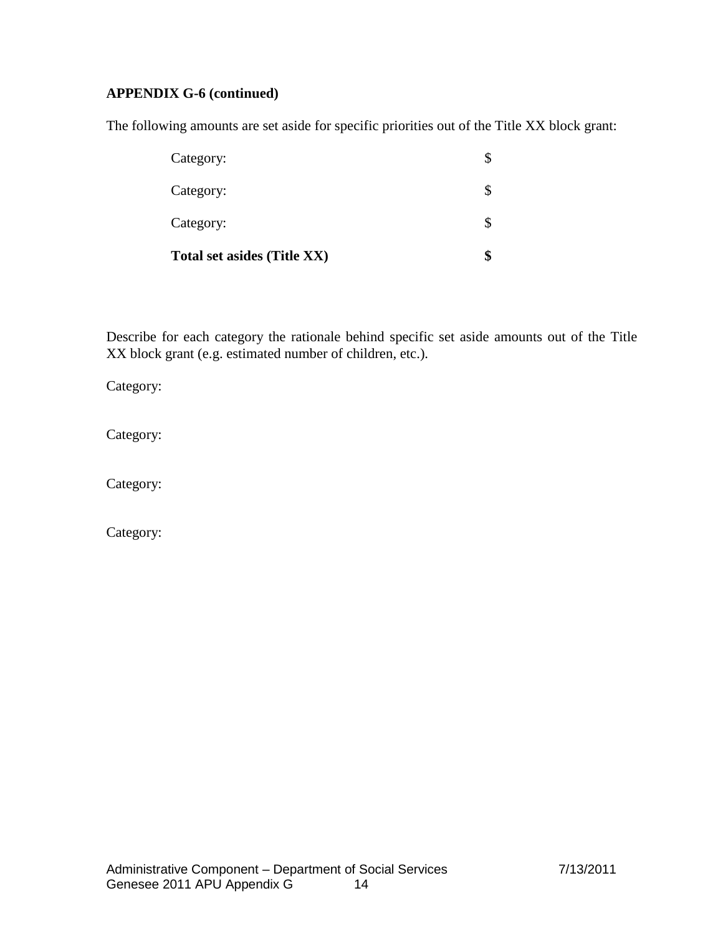# **APPENDIX G-6 (continued)**

The following amounts are set aside for specific priorities out of the Title XX block grant:

| Total set asides (Title XX) |  |
|-----------------------------|--|
| Category:                   |  |
| Category:                   |  |
| Category:                   |  |

Describe for each category the rationale behind specific set aside amounts out of the Title XX block grant (e.g. estimated number of children, etc.).

Category:

Category:

Category:

Category: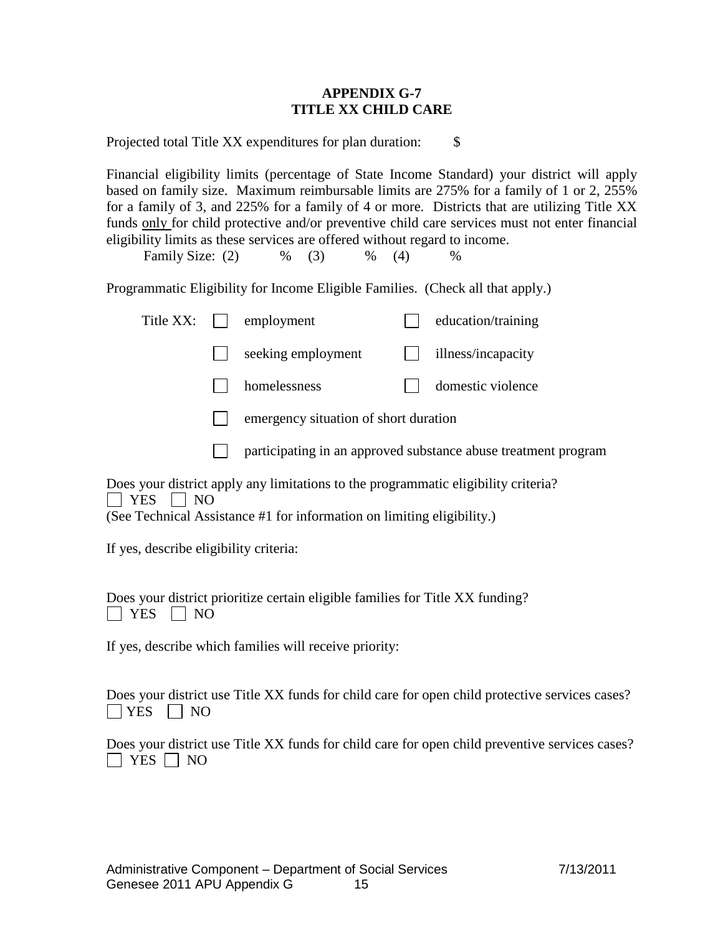## **APPENDIX G-7 TITLE XX CHILD CARE**

Projected total Title XX expenditures for plan duration: \$

Financial eligibility limits (percentage of State Income Standard) your district will apply based on family size. Maximum reimbursable limits are 275% for a family of 1 or 2, 255% for a family of 3, and 225% for a family of 4 or more. Districts that are utilizing Title XX funds only for child protective and/or preventive child care services must not enter financial eligibility limits as these services are offered without regard to income.

Family Size: (2)  $\%$  (3)  $\%$  (4)  $\%$ 

Programmatic Eligibility for Income Eligible Families. (Check all that apply.)

| Title XX:         | employment                                                                                                                                                                          |  | education/training |
|-------------------|-------------------------------------------------------------------------------------------------------------------------------------------------------------------------------------|--|--------------------|
|                   | seeking employment                                                                                                                                                                  |  | illness/incapacity |
|                   | homelessness                                                                                                                                                                        |  | domestic violence  |
|                   | emergency situation of short duration                                                                                                                                               |  |                    |
|                   | participating in an approved substance abuse treatment program                                                                                                                      |  |                    |
| <b>YES</b><br>NO. | Does your district apply any limitations to the programmatic eligibility criteria?<br>$(\mathcal{Q}_{\mathcal{A}})$ Toolwind Appleton on #1 for information on limiting alightlity) |  |                    |

(See Technical Assistance #1 for information on limiting eligibility.)

If yes, describe eligibility criteria:

Does your district prioritize certain eligible families for Title XX funding?  $|$  | YES | | NO

If yes, describe which families will receive priority:

Does your district use Title XX funds for child care for open child protective services cases?  $\vert$  YES  $\vert$  NO

Does your district use Title XX funds for child care for open child preventive services cases?  $\Box$  YES  $\Box$  NO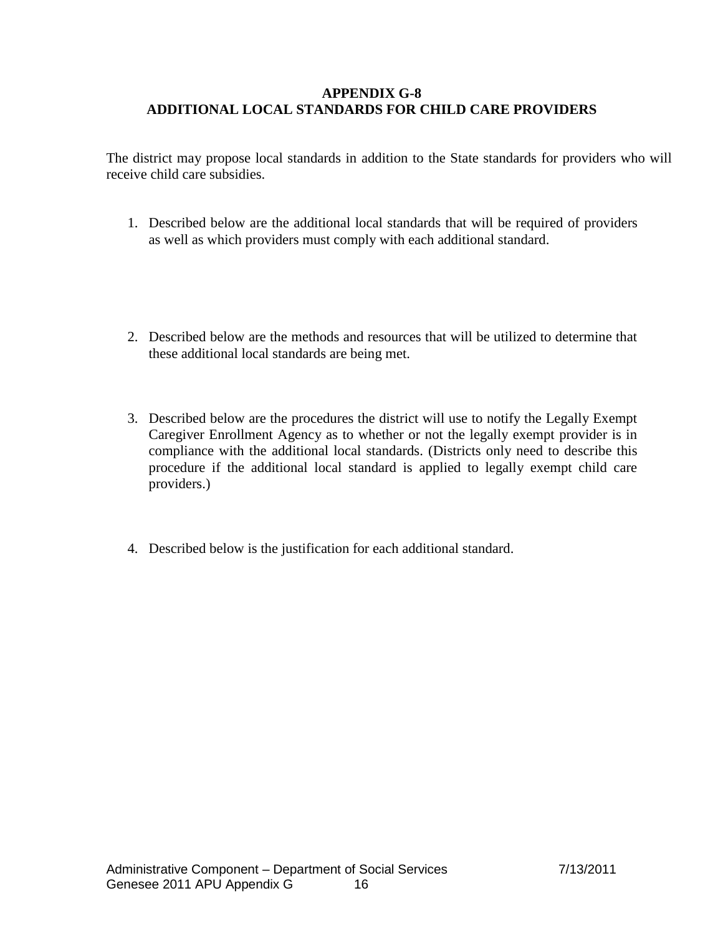## **APPENDIX G-8 ADDITIONAL LOCAL STANDARDS FOR CHILD CARE PROVIDERS**

The district may propose local standards in addition to the State standards for providers who will receive child care subsidies.

- 1. Described below are the additional local standards that will be required of providers as well as which providers must comply with each additional standard.
- 2. Described below are the methods and resources that will be utilized to determine that these additional local standards are being met.
- 3. Described below are the procedures the district will use to notify the Legally Exempt Caregiver Enrollment Agency as to whether or not the legally exempt provider is in compliance with the additional local standards. (Districts only need to describe this procedure if the additional local standard is applied to legally exempt child care providers.)
- 4. Described below is the justification for each additional standard.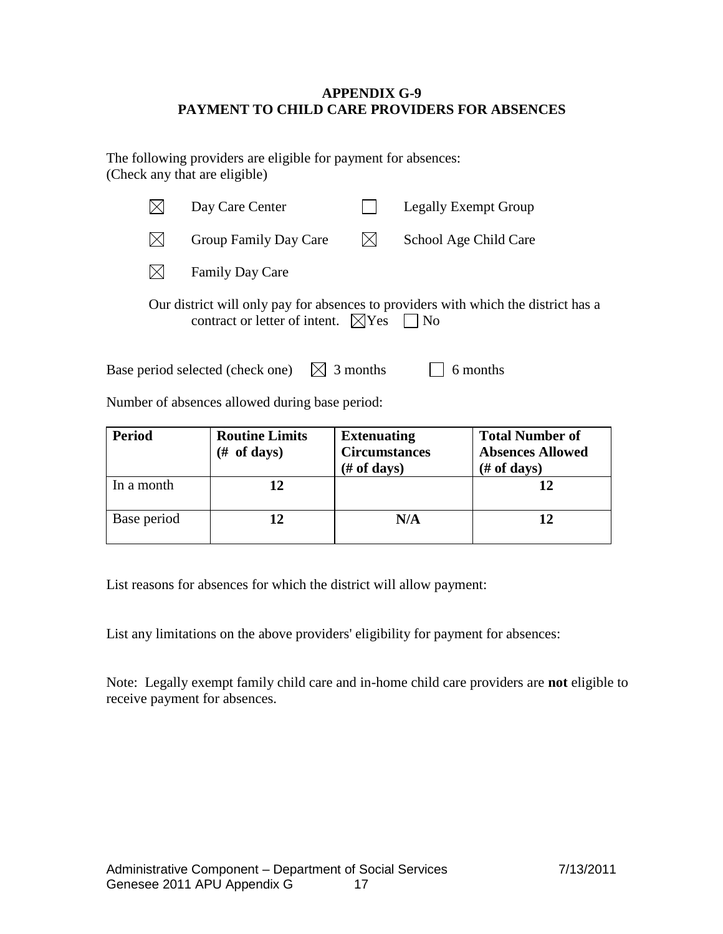## **APPENDIX G-9 PAYMENT TO CHILD CARE PROVIDERS FOR ABSENCES**

The following providers are eligible for payment for absences: (Check any that are eligible)

| Day Care Center                                         |                    | Legally Exempt Group                                                               |
|---------------------------------------------------------|--------------------|------------------------------------------------------------------------------------|
| Group Family Day Care                                   | IXI                | School Age Child Care                                                              |
| <b>Family Day Care</b>                                  |                    |                                                                                    |
| contract or letter of intent. $\boxtimes$ Yes $\Box$ No |                    | Our district will only pay for absences to providers with which the district has a |
| Base period selected (check one)                        | $\bowtie$ 3 months | 6 months                                                                           |

Number of absences allowed during base period:

| <b>Period</b><br><b>Routine Limits</b><br>(# of days) |    | <b>Extenuating</b><br><b>Circumstances</b><br>$(\# of days)$ | <b>Total Number of</b><br><b>Absences Allowed</b><br>$#$ of days) |
|-------------------------------------------------------|----|--------------------------------------------------------------|-------------------------------------------------------------------|
| In a month                                            | 12 |                                                              |                                                                   |
| Base period                                           |    | N/A                                                          |                                                                   |

List reasons for absences for which the district will allow payment:

List any limitations on the above providers' eligibility for payment for absences:

Note: Legally exempt family child care and in-home child care providers are **not** eligible to receive payment for absences.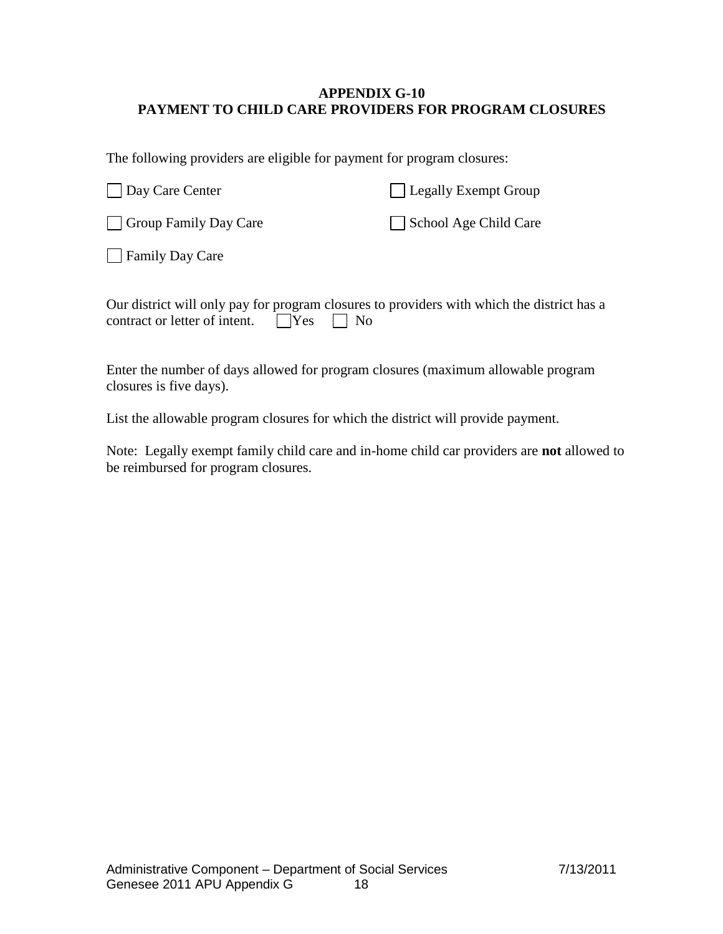# **APPENDIX G-10 PAYMENT TO CHILD CARE PROVIDERS FOR PROGRAM CLOSURES**

The following providers are eligible for payment for program closures:

| Day Care Center       | Legally Exempt Group  |
|-----------------------|-----------------------|
| Group Family Day Care | School Age Child Care |
| Family Day Care       |                       |

| Our district will only pay for program closures to providers with which the district has a |  |  |  |
|--------------------------------------------------------------------------------------------|--|--|--|
| contract or letter of intent. $\Box$ Yes $\Box$ No                                         |  |  |  |

Enter the number of days allowed for program closures (maximum allowable program closures is five days).

List the allowable program closures for which the district will provide payment.

Note: Legally exempt family child care and in-home child car providers are **not** allowed to be reimbursed for program closures.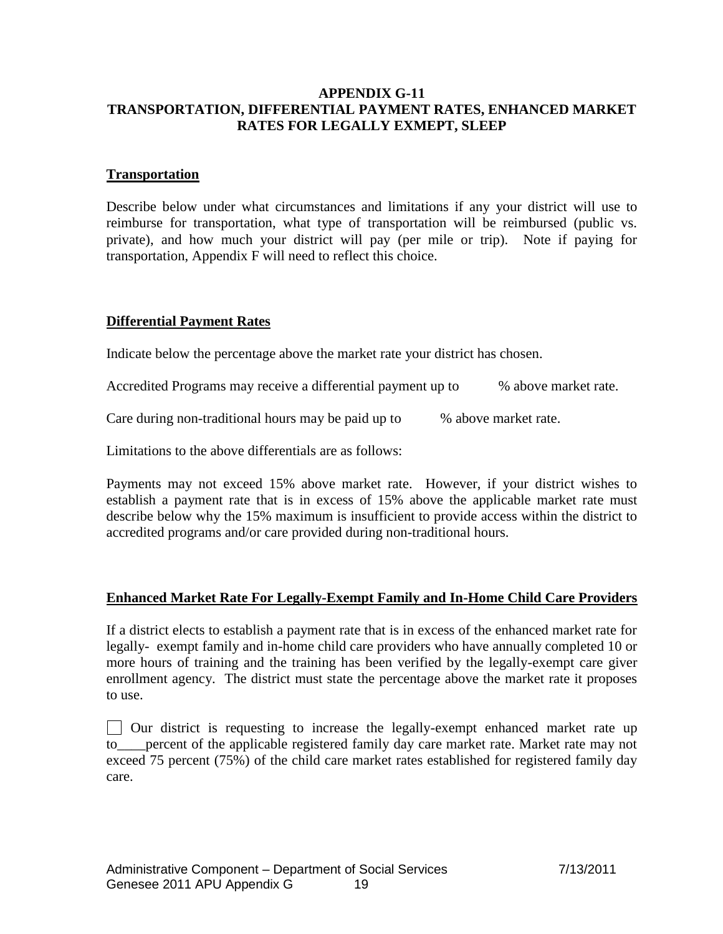## **APPENDIX G-11 TRANSPORTATION, DIFFERENTIAL PAYMENT RATES, ENHANCED MARKET RATES FOR LEGALLY EXMEPT, SLEEP**

#### **Transportation**

Describe below under what circumstances and limitations if any your district will use to reimburse for transportation, what type of transportation will be reimbursed (public vs. private), and how much your district will pay (per mile or trip). Note if paying for transportation, Appendix F will need to reflect this choice.

# **Differential Payment Rates**

Indicate below the percentage above the market rate your district has chosen.

Accredited Programs may receive a differential payment up to % above market rate.

Care during non-traditional hours may be paid up to  $\%$  above market rate.

Limitations to the above differentials are as follows:

Payments may not exceed 15% above market rate. However, if your district wishes to establish a payment rate that is in excess of 15% above the applicable market rate must describe below why the 15% maximum is insufficient to provide access within the district to accredited programs and/or care provided during non-traditional hours.

# **Enhanced Market Rate For Legally-Exempt Family and In-Home Child Care Providers**

If a district elects to establish a payment rate that is in excess of the enhanced market rate for legally- exempt family and in-home child care providers who have annually completed 10 or more hours of training and the training has been verified by the legally-exempt care giver enrollment agency. The district must state the percentage above the market rate it proposes to use.

Our district is requesting to increase the legally-exempt enhanced market rate up to\_\_\_\_percent of the applicable registered family day care market rate. Market rate may not exceed 75 percent (75%) of the child care market rates established for registered family day care.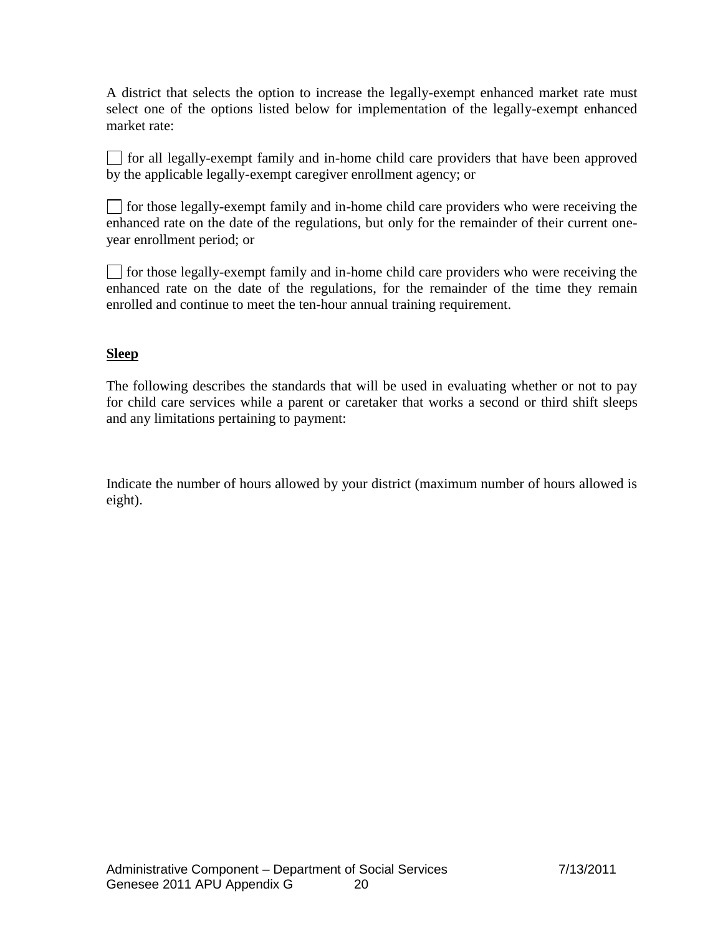A district that selects the option to increase the legally-exempt enhanced market rate must select one of the options listed below for implementation of the legally-exempt enhanced market rate:

 $\Box$  for all legally-exempt family and in-home child care providers that have been approved by the applicable legally-exempt caregiver enrollment agency; or

 $\Box$  for those legally-exempt family and in-home child care providers who were receiving the enhanced rate on the date of the regulations, but only for the remainder of their current oneyear enrollment period; or

 $\Box$  for those legally-exempt family and in-home child care providers who were receiving the enhanced rate on the date of the regulations, for the remainder of the time they remain enrolled and continue to meet the ten-hour annual training requirement.

# **Sleep**

The following describes the standards that will be used in evaluating whether or not to pay for child care services while a parent or caretaker that works a second or third shift sleeps and any limitations pertaining to payment:

Indicate the number of hours allowed by your district (maximum number of hours allowed is eight).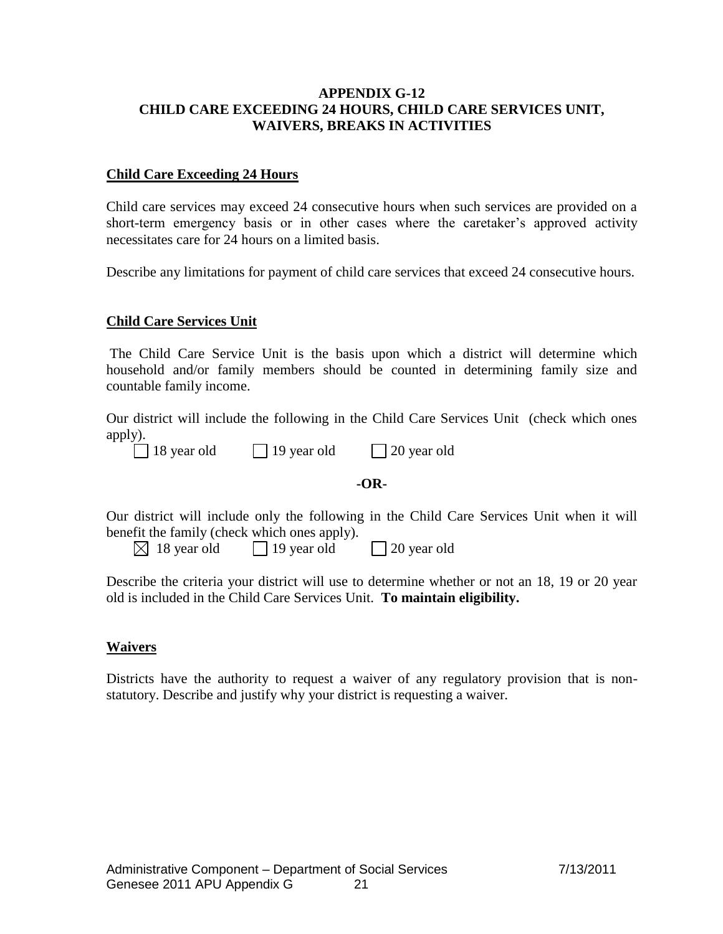# **APPENDIX G-12 CHILD CARE EXCEEDING 24 HOURS, CHILD CARE SERVICES UNIT, WAIVERS, BREAKS IN ACTIVITIES**

#### **Child Care Exceeding 24 Hours**

Child care services may exceed 24 consecutive hours when such services are provided on a short-term emergency basis or in other cases where the caretaker's approved activity necessitates care for 24 hours on a limited basis.

Describe any limitations for payment of child care services that exceed 24 consecutive hours.

# **Child Care Services Unit**

The Child Care Service Unit is the basis upon which a district will determine which household and/or family members should be counted in determining family size and countable family income.

Our district will include the following in the Child Care Services Unit (check which ones apply).

| $\Box$ 18 year old | $\Box$ 19 year old | $\Box$ 20 year old |
|--------------------|--------------------|--------------------|
|--------------------|--------------------|--------------------|

#### **-OR-**

Our district will include only the following in the Child Care Services Unit when it will benefit the family (check which ones apply).

| $\boxtimes$ 18 year old | $\Box$ 19 year old | $\Box$ 20 year old |
|-------------------------|--------------------|--------------------|

Describe the criteria your district will use to determine whether or not an 18, 19 or 20 year old is included in the Child Care Services Unit. **To maintain eligibility.**

#### **Waivers**

Districts have the authority to request a waiver of any regulatory provision that is nonstatutory. Describe and justify why your district is requesting a waiver.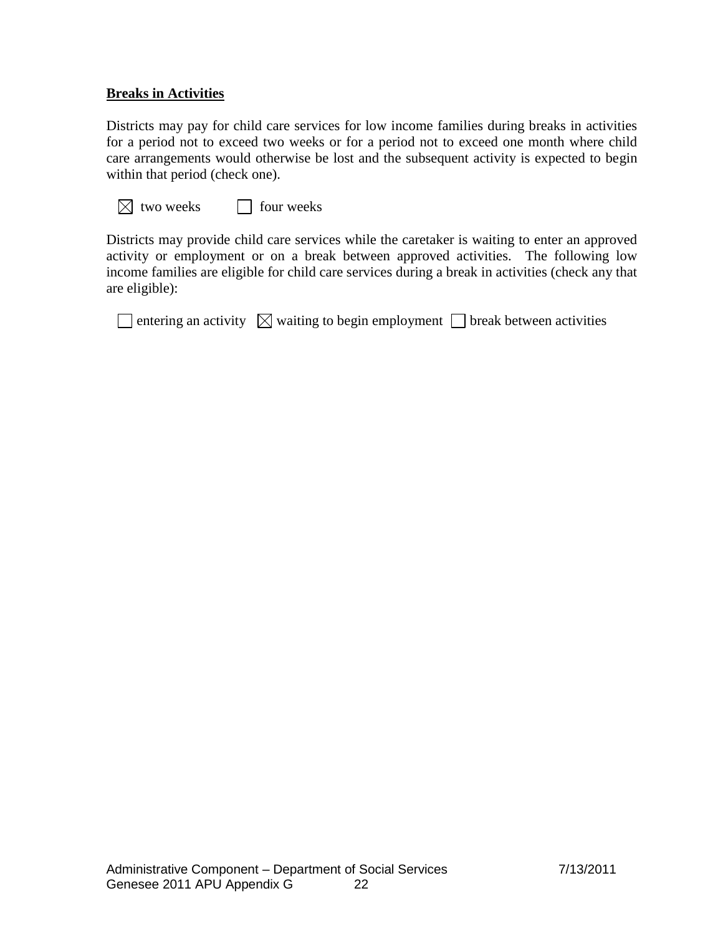## **Breaks in Activities**

Districts may pay for child care services for low income families during breaks in activities for a period not to exceed two weeks or for a period not to exceed one month where child care arrangements would otherwise be lost and the subsequent activity is expected to begin within that period (check one).

|  | $\boxtimes$ two weeks | four weeks |
|--|-----------------------|------------|
|--|-----------------------|------------|

Districts may provide child care services while the caretaker is waiting to enter an approved activity or employment or on a break between approved activities. The following low income families are eligible for child care services during a break in activities (check any that are eligible):

|  |  | $\Box$ entering an activity $\boxtimes$ waiting to begin employment $\Box$ break between activities |  |
|--|--|-----------------------------------------------------------------------------------------------------|--|
|--|--|-----------------------------------------------------------------------------------------------------|--|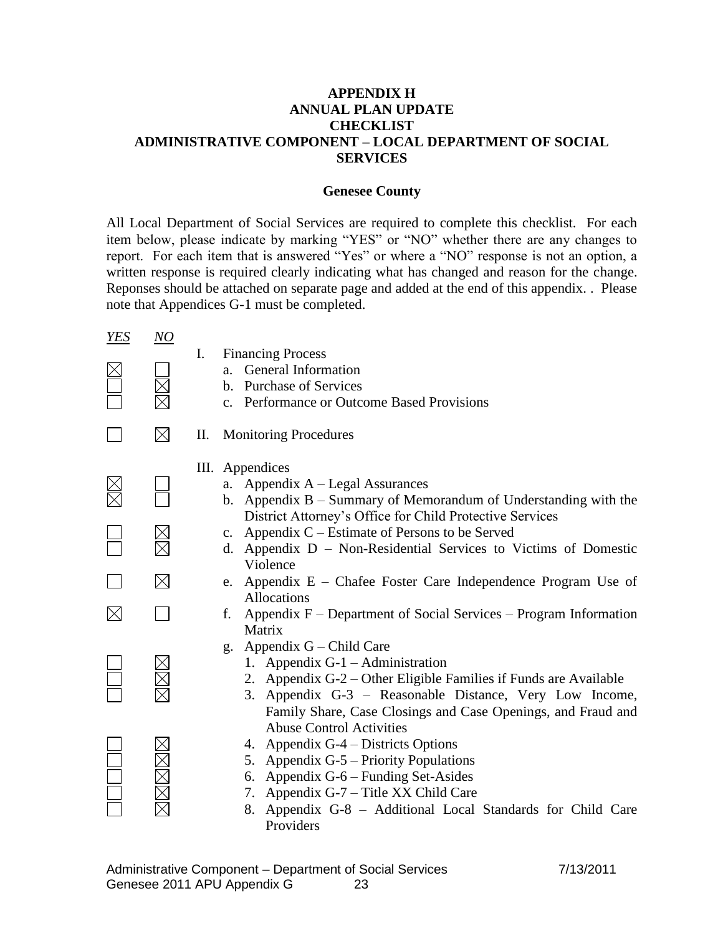## **APPENDIX H ANNUAL PLAN UPDATE CHECKLIST ADMINISTRATIVE COMPONENT – LOCAL DEPARTMENT OF SOCIAL SERVICES**

#### **Genesee County**

All Local Department of Social Services are required to complete this checklist. For each item below, please indicate by marking "YES" or "NO" whether there are any changes to report. For each item that is answered "Yes" or where a "NO" response is not an option, a written response is required clearly indicating what has changed and reason for the change. Reponses should be attached on separate page and added at the end of this appendix. . Please note that Appendices G-1 must be completed.

| <b>YES</b>  | NO          | I.<br><b>Financing Process</b>                                                                                                                                                                                                                                                                      |
|-------------|-------------|-----------------------------------------------------------------------------------------------------------------------------------------------------------------------------------------------------------------------------------------------------------------------------------------------------|
|             |             | General Information<br>a.<br>b. Purchase of Services<br>c. Performance or Outcome Based Provisions                                                                                                                                                                                                  |
|             | $\boxtimes$ | <b>Monitoring Procedures</b><br>П.                                                                                                                                                                                                                                                                  |
|             |             | III. Appendices<br>a. Appendix A – Legal Assurances<br>b. Appendix $B -$ Summary of Memorandum of Understanding with the<br>District Attorney's Office for Child Protective Services                                                                                                                |
|             |             | c. Appendix $C$ – Estimate of Persons to be Served<br>d. Appendix D - Non-Residential Services to Victims of Domestic<br>Violence                                                                                                                                                                   |
|             | $\boxtimes$ | Appendix E – Chafee Foster Care Independence Program Use of<br>e.<br>Allocations                                                                                                                                                                                                                    |
| $\boxtimes$ |             | Appendix F – Department of Social Services – Program Information<br>f.<br>Matrix                                                                                                                                                                                                                    |
|             |             | Appendix G – Child Care<br>g.<br>1. Appendix G-1 – Administration<br>2. Appendix G-2 – Other Eligible Families if Funds are Available<br>3. Appendix G-3 – Reasonable Distance, Very Low Income,<br>Family Share, Case Closings and Case Openings, and Fraud and<br><b>Abuse Control Activities</b> |
|             |             | 4. Appendix G-4 – Districts Options<br>Appendix G-5 – Priority Populations<br>5.<br>6. Appendix G-6 – Funding Set-Asides<br>7. Appendix G-7 - Title XX Child Care<br>Appendix G-8 - Additional Local Standards for Child Care<br>8.<br>Providers                                                    |